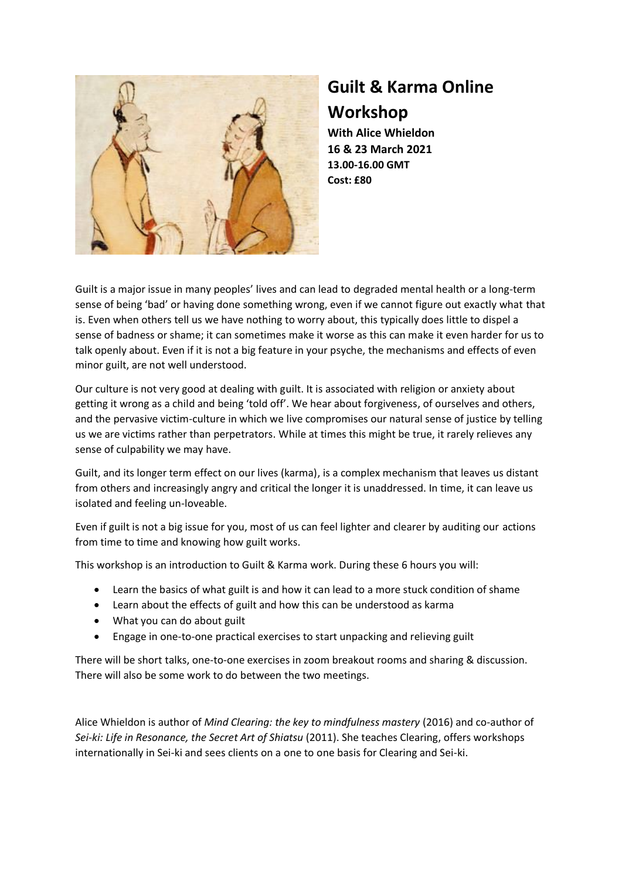

## **Guilt & Karma Online Workshop**

**With Alice Whieldon 16 & 23 March 2021 13.00-16.00 GMT Cost: £80**

Guilt is a major issue in many peoples' lives and can lead to degraded mental health or a long-term sense of being 'bad' or having done something wrong, even if we cannot figure out exactly what that is. Even when others tell us we have nothing to worry about, this typically does little to dispel a sense of badness or shame; it can sometimes make it worse as this can make it even harder for us to talk openly about. Even if it is not a big feature in your psyche, the mechanisms and effects of even minor guilt, are not well understood.

Our culture is not very good at dealing with guilt. It is associated with religion or anxiety about getting it wrong as a child and being 'told off'. We hear about forgiveness, of ourselves and others, and the pervasive victim-culture in which we live compromises our natural sense of justice by telling us we are victims rather than perpetrators. While at times this might be true, it rarely relieves any sense of culpability we may have.

Guilt, and its longer term effect on our lives (karma), is a complex mechanism that leaves us distant from others and increasingly angry and critical the longer it is unaddressed. In time, it can leave us isolated and feeling un-loveable.

Even if guilt is not a big issue for you, most of us can feel lighter and clearer by auditing our actions from time to time and knowing how guilt works.

This workshop is an introduction to Guilt & Karma work. During these 6 hours you will:

- Learn the basics of what guilt is and how it can lead to a more stuck condition of shame
- Learn about the effects of guilt and how this can be understood as karma
- What you can do about guilt
- Engage in one-to-one practical exercises to start unpacking and relieving guilt

There will be short talks, one-to-one exercises in zoom breakout rooms and sharing & discussion. There will also be some work to do between the two meetings.

Alice Whieldon is author of *Mind Clearing: the key to mindfulness mastery* (2016) and co-author of *Sei-ki: Life in Resonance, the Secret Art of Shiatsu* (2011). She teaches Clearing, offers workshops internationally in Sei-ki and sees clients on a one to one basis for Clearing and Sei-ki.